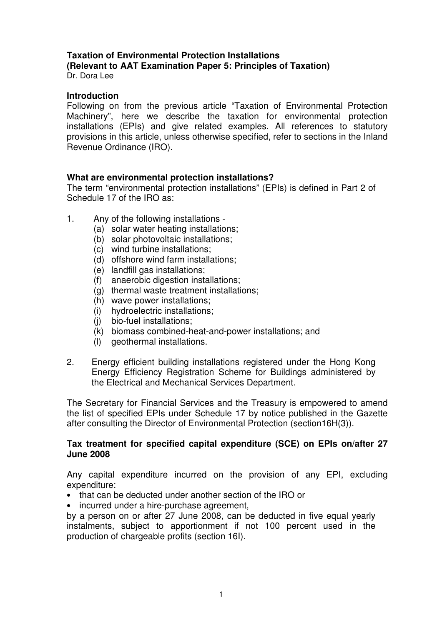#### **Taxation of Environmental Protection Installations (Relevant to AAT Examination Paper 5: Principles of Taxation)**  Dr. Dora Lee

## **Introduction**

Following on from the previous article "Taxation of Environmental Protection Machinery", here we describe the taxation for environmental protection installations (EPIs) and give related examples. All references to statutory provisions in this article, unless otherwise specified, refer to sections in the Inland Revenue Ordinance (IRO).

# **What are environmental protection installations?**

The term "environmental protection installations" (EPIs) is defined in Part 2 of Schedule 17 of the IRO as:

- 1. Any of the following installations
	- (a) solar water heating installations;
	- (b) solar photovoltaic installations;
	- (c) wind turbine installations;
	- (d) offshore wind farm installations;
	- (e) landfill gas installations;
	- (f) anaerobic digestion installations;
	- (g) thermal waste treatment installations;
	- (h) wave power installations;
	- (i) hydroelectric installations;
	- (j) bio-fuel installations;
	- (k) biomass combined-heat-and-power installations; and
	- (l) geothermal installations.
- 2. Energy efficient building installations registered under the Hong Kong Energy Efficiency Registration Scheme for Buildings administered by the Electrical and Mechanical Services Department.

The Secretary for Financial Services and the Treasury is empowered to amend the list of specified EPIs under Schedule 17 by notice published in the Gazette after consulting the Director of Environmental Protection (section16H(3)).

# **Tax treatment for specified capital expenditure (SCE) on EPIs on/after 27 June 2008**

Any capital expenditure incurred on the provision of any EPI, excluding expenditure:

- that can be deducted under another section of the IRO or
- incurred under a hire-purchase agreement,

by a person on or after 27 June 2008, can be deducted in five equal yearly instalments, subject to apportionment if not 100 percent used in the production of chargeable profits (section 16I).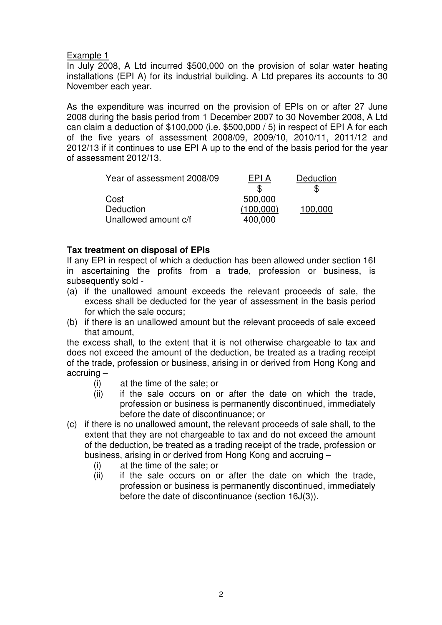In July 2008, A Ltd incurred \$500,000 on the provision of solar water heating installations (EPI A) for its industrial building. A Ltd prepares its accounts to 30 November each year.

As the expenditure was incurred on the provision of EPIs on or after 27 June 2008 during the basis period from 1 December 2007 to 30 November 2008, A Ltd can claim a deduction of \$100,000 (i.e. \$500,000 / 5) in respect of EPI A for each of the five years of assessment 2008/09, 2009/10, 2010/11, 2011/12 and 2012/13 if it continues to use EPI A up to the end of the basis period for the year of assessment 2012/13.

| Year of assessment 2008/09 | FPI A     | Deduction |
|----------------------------|-----------|-----------|
|                            |           |           |
| Cost                       | 500,000   |           |
| Deduction                  | (100,000) | 100,000   |
| Unallowed amount c/f       |           |           |

# **Tax treatment on disposal of EPIs**

If any EPI in respect of which a deduction has been allowed under section 16I in ascertaining the profits from a trade, profession or business, is subsequently sold -

- (a) if the unallowed amount exceeds the relevant proceeds of sale, the excess shall be deducted for the year of assessment in the basis period for which the sale occurs;
- (b) if there is an unallowed amount but the relevant proceeds of sale exceed that amount,

the excess shall, to the extent that it is not otherwise chargeable to tax and does not exceed the amount of the deduction, be treated as a trading receipt of the trade, profession or business, arising in or derived from Hong Kong and accruing –

- (i) at the time of the sale; or
- (ii) if the sale occurs on or after the date on which the trade, profession or business is permanently discontinued, immediately before the date of discontinuance; or
- (c) if there is no unallowed amount, the relevant proceeds of sale shall, to the extent that they are not chargeable to tax and do not exceed the amount of the deduction, be treated as a trading receipt of the trade, profession or business, arising in or derived from Hong Kong and accruing –
	- (i) at the time of the sale; or
	- (ii) if the sale occurs on or after the date on which the trade, profession or business is permanently discontinued, immediately before the date of discontinuance (section 16J(3)).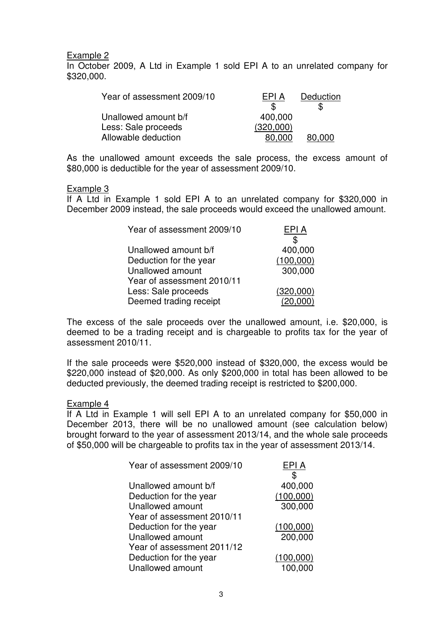In October 2009, A Ltd in Example 1 sold EPI A to an unrelated company for \$320,000.

| Year of assessment 2009/10 | EPI A     | Deduction |
|----------------------------|-----------|-----------|
|                            |           | S         |
| Unallowed amount b/f       | 400,000   |           |
| Less: Sale proceeds        | (320,000) |           |
| Allowable deduction        | 80,000    | 80,000    |

As the unallowed amount exceeds the sale process, the excess amount of \$80,000 is deductible for the year of assessment 2009/10.

#### Example 3

If A Ltd in Example 1 sold EPI A to an unrelated company for \$320,000 in December 2009 instead, the sale proceeds would exceed the unallowed amount.

| Year of assessment 2009/10 | EPI A     |
|----------------------------|-----------|
|                            | \$        |
| Unallowed amount b/f       | 400,000   |
| Deduction for the year     | (100,000) |
| Unallowed amount           | 300,000   |
| Year of assessment 2010/11 |           |
| Less: Sale proceeds        | (320,000) |
| Deemed trading receipt     | (20,000)  |

The excess of the sale proceeds over the unallowed amount, i.e. \$20,000, is deemed to be a trading receipt and is chargeable to profits tax for the year of assessment 2010/11.

If the sale proceeds were \$520,000 instead of \$320,000, the excess would be \$220,000 instead of \$20,000. As only \$200,000 in total has been allowed to be deducted previously, the deemed trading receipt is restricted to \$200,000.

#### Example 4

If A Ltd in Example 1 will sell EPI A to an unrelated company for \$50,000 in December 2013, there will be no unallowed amount (see calculation below) brought forward to the year of assessment 2013/14, and the whole sale proceeds of \$50,000 will be chargeable to profits tax in the year of assessment 2013/14.

| Year of assessment 2009/10 | EPI A     |
|----------------------------|-----------|
|                            |           |
| Unallowed amount b/f       | 400,000   |
| Deduction for the year     | (100,000) |
| Unallowed amount           | 300,000   |
| Year of assessment 2010/11 |           |
| Deduction for the year     | (100,000) |
| Unallowed amount           | 200,000   |
| Year of assessment 2011/12 |           |
| Deduction for the year     | (100,000) |
| Unallowed amount           | 100,000   |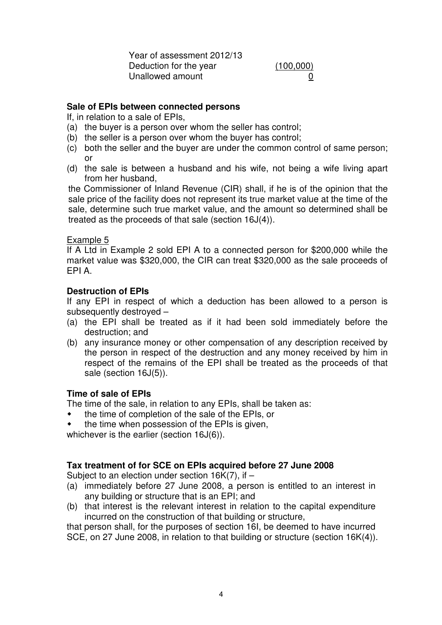Year of assessment 2012/13 Deduction for the year (100,000) Unallowed amount 0

# **Sale of EPIs between connected persons**

If, in relation to a sale of EPIs,

- (a) the buyer is a person over whom the seller has control;
- (b) the seller is a person over whom the buyer has control;
- (c) both the seller and the buyer are under the common control of same person; or
- (d) the sale is between a husband and his wife, not being a wife living apart from her husband,

the Commissioner of Inland Revenue (CIR) shall, if he is of the opinion that the sale price of the facility does not represent its true market value at the time of the sale, determine such true market value, and the amount so determined shall be treated as the proceeds of that sale (section 16J(4)).

# Example 5

If A Ltd in Example 2 sold EPI A to a connected person for \$200,000 while the market value was \$320,000, the CIR can treat \$320,000 as the sale proceeds of EPI A.

# **Destruction of EPIs**

If any EPI in respect of which a deduction has been allowed to a person is subsequently destroyed –

- (a) the EPI shall be treated as if it had been sold immediately before the destruction; and
- (b) any insurance money or other compensation of any description received by the person in respect of the destruction and any money received by him in respect of the remains of the EPI shall be treated as the proceeds of that sale (section 16J(5)).

# **Time of sale of EPIs**

The time of the sale, in relation to any EPIs, shall be taken as:

- the time of completion of the sale of the EPIs, or
- the time when possession of the EPIs is given,

whichever is the earlier (section 16J(6)).

# **Tax treatment of for SCE on EPIs acquired before 27 June 2008**

Subject to an election under section  $16K(7)$ , if  $-$ 

- (a) immediately before 27 June 2008, a person is entitled to an interest in any building or structure that is an EPI; and
- (b) that interest is the relevant interest in relation to the capital expenditure incurred on the construction of that building or structure,

that person shall, for the purposes of section 16I, be deemed to have incurred SCE, on 27 June 2008, in relation to that building or structure (section 16K(4)).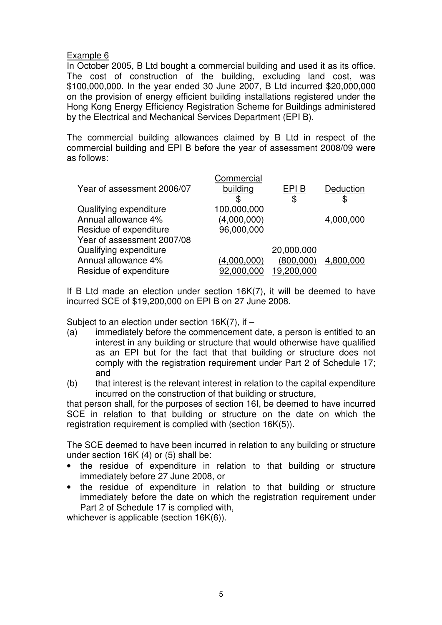In October 2005, B Ltd bought a commercial building and used it as its office. The cost of construction of the building, excluding land cost, was \$100,000,000. In the year ended 30 June 2007, B Ltd incurred \$20,000,000 on the provision of energy efficient building installations registered under the Hong Kong Energy Efficiency Registration Scheme for Buildings administered by the Electrical and Mechanical Services Department (EPI B).

The commercial building allowances claimed by B Ltd in respect of the commercial building and EPI B before the year of assessment 2008/09 were as follows:

|                            | Commercial  |            |           |
|----------------------------|-------------|------------|-----------|
| Year of assessment 2006/07 | building    | EPI B      | Deduction |
|                            | \$          | \$         | \$        |
| Qualifying expenditure     | 100,000,000 |            |           |
| Annual allowance 4%        | (4,000,000) |            | 4,000,000 |
| Residue of expenditure     | 96,000,000  |            |           |
| Year of assessment 2007/08 |             |            |           |
| Qualifying expenditure     |             | 20,000,000 |           |
| Annual allowance 4%        | (4,000,000) | (800,000)  | 4,800,000 |
| Residue of expenditure     | 92.000.000  | 19,200,000 |           |

If B Ltd made an election under section 16K(7), it will be deemed to have incurred SCE of \$19,200,000 on EPI B on 27 June 2008.

Subject to an election under section 16K(7), if –

- (a) immediately before the commencement date, a person is entitled to an interest in any building or structure that would otherwise have qualified as an EPI but for the fact that that building or structure does not comply with the registration requirement under Part 2 of Schedule 17; and
- (b) that interest is the relevant interest in relation to the capital expenditure incurred on the construction of that building or structure,

that person shall, for the purposes of section 16I, be deemed to have incurred SCE in relation to that building or structure on the date on which the registration requirement is complied with (section 16K(5)).

The SCE deemed to have been incurred in relation to any building or structure under section 16K (4) or (5) shall be:

- the residue of expenditure in relation to that building or structure immediately before 27 June 2008, or
- the residue of expenditure in relation to that building or structure immediately before the date on which the registration requirement under Part 2 of Schedule 17 is complied with,

whichever is applicable (section 16K(6)).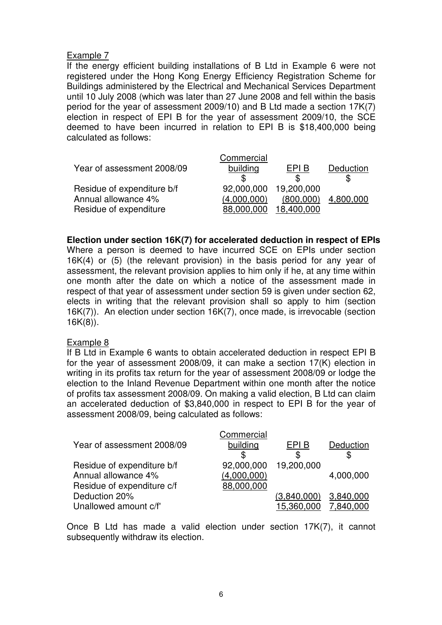If the energy efficient building installations of B Ltd in Example 6 were not registered under the Hong Kong Energy Efficiency Registration Scheme for Buildings administered by the Electrical and Mechanical Services Department until 10 July 2008 (which was later than 27 June 2008 and fell within the basis period for the year of assessment 2009/10) and B Ltd made a section 17K(7) election in respect of EPI B for the year of assessment 2009/10, the SCE deemed to have been incurred in relation to EPI B is \$18,400,000 being calculated as follows:

| Deduction |
|-----------|
|           |
|           |
| 4,800,000 |
|           |
|           |

## **Election under section 16K(7) for accelerated deduction in respect of EPIs**

Where a person is deemed to have incurred SCE on EPIs under section 16K(4) or (5) (the relevant provision) in the basis period for any year of assessment, the relevant provision applies to him only if he, at any time within one month after the date on which a notice of the assessment made in respect of that year of assessment under section 59 is given under section 62, elects in writing that the relevant provision shall so apply to him (section 16K(7)). An election under section 16K(7), once made, is irrevocable (section 16K(8)).

#### Example 8

If B Ltd in Example 6 wants to obtain accelerated deduction in respect EPI B for the year of assessment 2008/09, it can make a section 17(K) election in writing in its profits tax return for the year of assessment 2008/09 or lodge the election to the Inland Revenue Department within one month after the notice of profits tax assessment 2008/09. On making a valid election, B Ltd can claim an accelerated deduction of \$3,840,000 in respect to EPI B for the year of assessment 2008/09, being calculated as follows:

|                            | Commercial  |             |           |
|----------------------------|-------------|-------------|-----------|
| Year of assessment 2008/09 | building    | EPI B       | Deduction |
|                            | \$          | S           |           |
| Residue of expenditure b/f | 92,000,000  | 19,200,000  |           |
| Annual allowance 4%        | (4,000,000) |             | 4,000,000 |
| Residue of expenditure c/f | 88,000,000  |             |           |
| Deduction 20%              |             | (3,840,000) | 3,840,000 |
| Unallowed amount c/f'      |             | 15,360,000  | 7,840,000 |

Once B Ltd has made a valid election under section 17K(7), it cannot subsequently withdraw its election.